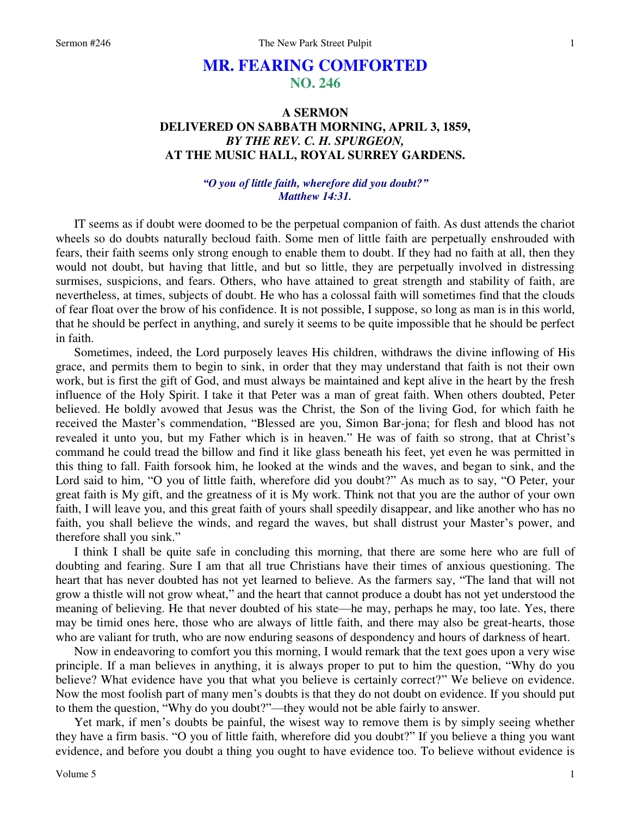# **MR. FEARING COMFORTED NO. 246**

## **A SERMON DELIVERED ON SABBATH MORNING, APRIL 3, 1859,**  *BY THE REV. C. H. SPURGEON,*  **AT THE MUSIC HALL, ROYAL SURREY GARDENS.**

## *"O you of little faith, wherefore did you doubt?" Matthew 14:31.*

IT seems as if doubt were doomed to be the perpetual companion of faith. As dust attends the chariot wheels so do doubts naturally becloud faith. Some men of little faith are perpetually enshrouded with fears, their faith seems only strong enough to enable them to doubt. If they had no faith at all, then they would not doubt, but having that little, and but so little, they are perpetually involved in distressing surmises, suspicions, and fears. Others, who have attained to great strength and stability of faith, are nevertheless, at times, subjects of doubt. He who has a colossal faith will sometimes find that the clouds of fear float over the brow of his confidence. It is not possible, I suppose, so long as man is in this world, that he should be perfect in anything, and surely it seems to be quite impossible that he should be perfect in faith.

Sometimes, indeed, the Lord purposely leaves His children, withdraws the divine inflowing of His grace, and permits them to begin to sink, in order that they may understand that faith is not their own work, but is first the gift of God, and must always be maintained and kept alive in the heart by the fresh influence of the Holy Spirit. I take it that Peter was a man of great faith. When others doubted, Peter believed. He boldly avowed that Jesus was the Christ, the Son of the living God, for which faith he received the Master's commendation, "Blessed are you, Simon Bar-jona; for flesh and blood has not revealed it unto you, but my Father which is in heaven." He was of faith so strong, that at Christ's command he could tread the billow and find it like glass beneath his feet, yet even he was permitted in this thing to fall. Faith forsook him, he looked at the winds and the waves, and began to sink, and the Lord said to him, "O you of little faith, wherefore did you doubt?" As much as to say, "O Peter, your great faith is My gift, and the greatness of it is My work. Think not that you are the author of your own faith, I will leave you, and this great faith of yours shall speedily disappear, and like another who has no faith, you shall believe the winds, and regard the waves, but shall distrust your Master's power, and therefore shall you sink."

I think I shall be quite safe in concluding this morning, that there are some here who are full of doubting and fearing. Sure I am that all true Christians have their times of anxious questioning. The heart that has never doubted has not yet learned to believe. As the farmers say, "The land that will not grow a thistle will not grow wheat," and the heart that cannot produce a doubt has not yet understood the meaning of believing. He that never doubted of his state—he may, perhaps he may, too late. Yes, there may be timid ones here, those who are always of little faith, and there may also be great-hearts, those who are valiant for truth, who are now enduring seasons of despondency and hours of darkness of heart.

Now in endeavoring to comfort you this morning, I would remark that the text goes upon a very wise principle. If a man believes in anything, it is always proper to put to him the question, "Why do you believe? What evidence have you that what you believe is certainly correct?" We believe on evidence. Now the most foolish part of many men's doubts is that they do not doubt on evidence. If you should put to them the question, "Why do you doubt?"—they would not be able fairly to answer.

Yet mark, if men's doubts be painful, the wisest way to remove them is by simply seeing whether they have a firm basis. "O you of little faith, wherefore did you doubt?" If you believe a thing you want evidence, and before you doubt a thing you ought to have evidence too. To believe without evidence is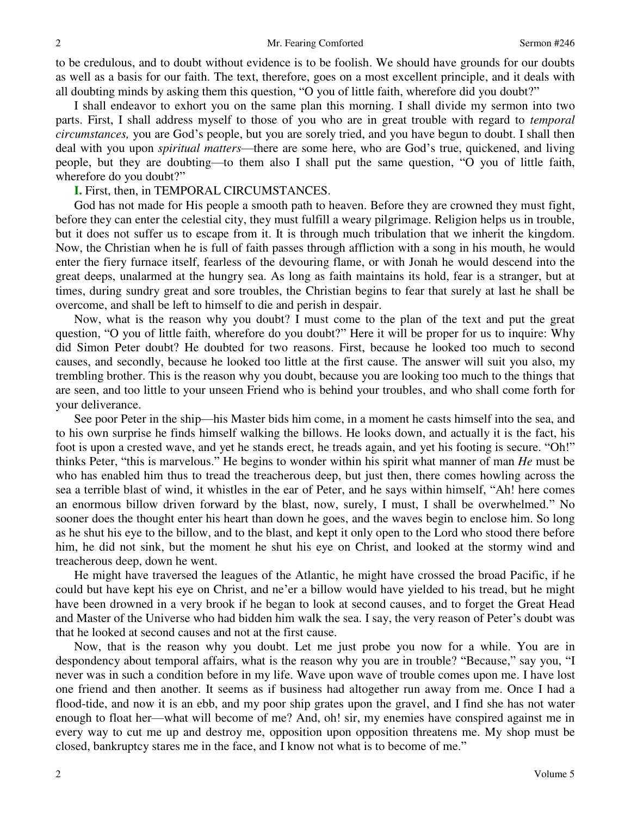to be credulous, and to doubt without evidence is to be foolish. We should have grounds for our doubts as well as a basis for our faith. The text, therefore, goes on a most excellent principle, and it deals with all doubting minds by asking them this question, "O you of little faith, wherefore did you doubt?"

I shall endeavor to exhort you on the same plan this morning. I shall divide my sermon into two parts. First, I shall address myself to those of you who are in great trouble with regard to *temporal circumstances,* you are God's people, but you are sorely tried, and you have begun to doubt. I shall then deal with you upon *spiritual matters*—there are some here, who are God's true, quickened, and living people, but they are doubting—to them also I shall put the same question, "O you of little faith, wherefore do you doubt?"

### **I.** First, then, in TEMPORAL CIRCUMSTANCES.

God has not made for His people a smooth path to heaven. Before they are crowned they must fight, before they can enter the celestial city, they must fulfill a weary pilgrimage. Religion helps us in trouble, but it does not suffer us to escape from it. It is through much tribulation that we inherit the kingdom. Now, the Christian when he is full of faith passes through affliction with a song in his mouth, he would enter the fiery furnace itself, fearless of the devouring flame, or with Jonah he would descend into the great deeps, unalarmed at the hungry sea. As long as faith maintains its hold, fear is a stranger, but at times, during sundry great and sore troubles, the Christian begins to fear that surely at last he shall be overcome, and shall be left to himself to die and perish in despair.

Now, what is the reason why you doubt? I must come to the plan of the text and put the great question, "O you of little faith, wherefore do you doubt?" Here it will be proper for us to inquire: Why did Simon Peter doubt? He doubted for two reasons. First, because he looked too much to second causes, and secondly, because he looked too little at the first cause. The answer will suit you also, my trembling brother. This is the reason why you doubt, because you are looking too much to the things that are seen, and too little to your unseen Friend who is behind your troubles, and who shall come forth for your deliverance.

See poor Peter in the ship—his Master bids him come, in a moment he casts himself into the sea, and to his own surprise he finds himself walking the billows. He looks down, and actually it is the fact, his foot is upon a crested wave, and yet he stands erect, he treads again, and yet his footing is secure. "Oh!" thinks Peter, "this is marvelous." He begins to wonder within his spirit what manner of man *He* must be who has enabled him thus to tread the treacherous deep, but just then, there comes howling across the sea a terrible blast of wind, it whistles in the ear of Peter, and he says within himself, "Ah! here comes an enormous billow driven forward by the blast, now, surely, I must, I shall be overwhelmed." No sooner does the thought enter his heart than down he goes, and the waves begin to enclose him. So long as he shut his eye to the billow, and to the blast, and kept it only open to the Lord who stood there before him, he did not sink, but the moment he shut his eye on Christ, and looked at the stormy wind and treacherous deep, down he went.

He might have traversed the leagues of the Atlantic, he might have crossed the broad Pacific, if he could but have kept his eye on Christ, and ne'er a billow would have yielded to his tread, but he might have been drowned in a very brook if he began to look at second causes, and to forget the Great Head and Master of the Universe who had bidden him walk the sea. I say, the very reason of Peter's doubt was that he looked at second causes and not at the first cause.

Now, that is the reason why you doubt. Let me just probe you now for a while. You are in despondency about temporal affairs, what is the reason why you are in trouble? "Because," say you, "I never was in such a condition before in my life. Wave upon wave of trouble comes upon me. I have lost one friend and then another. It seems as if business had altogether run away from me. Once I had a flood-tide, and now it is an ebb, and my poor ship grates upon the gravel, and I find she has not water enough to float her—what will become of me? And, oh! sir, my enemies have conspired against me in every way to cut me up and destroy me, opposition upon opposition threatens me. My shop must be closed, bankruptcy stares me in the face, and I know not what is to become of me."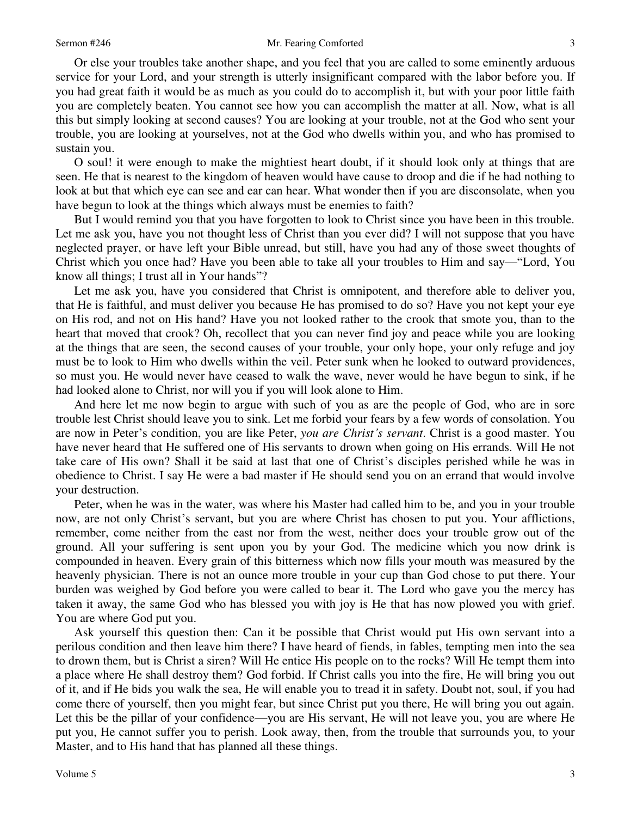Or else your troubles take another shape, and you feel that you are called to some eminently arduous service for your Lord, and your strength is utterly insignificant compared with the labor before you. If you had great faith it would be as much as you could do to accomplish it, but with your poor little faith you are completely beaten. You cannot see how you can accomplish the matter at all. Now, what is all this but simply looking at second causes? You are looking at your trouble, not at the God who sent your trouble, you are looking at yourselves, not at the God who dwells within you, and who has promised to sustain you.

O soul! it were enough to make the mightiest heart doubt, if it should look only at things that are seen. He that is nearest to the kingdom of heaven would have cause to droop and die if he had nothing to look at but that which eye can see and ear can hear. What wonder then if you are disconsolate, when you have begun to look at the things which always must be enemies to faith?

But I would remind you that you have forgotten to look to Christ since you have been in this trouble. Let me ask you, have you not thought less of Christ than you ever did? I will not suppose that you have neglected prayer, or have left your Bible unread, but still, have you had any of those sweet thoughts of Christ which you once had? Have you been able to take all your troubles to Him and say—"Lord, You know all things; I trust all in Your hands"?

Let me ask you, have you considered that Christ is omnipotent, and therefore able to deliver you, that He is faithful, and must deliver you because He has promised to do so? Have you not kept your eye on His rod, and not on His hand? Have you not looked rather to the crook that smote you, than to the heart that moved that crook? Oh, recollect that you can never find joy and peace while you are looking at the things that are seen, the second causes of your trouble, your only hope, your only refuge and joy must be to look to Him who dwells within the veil. Peter sunk when he looked to outward providences, so must you. He would never have ceased to walk the wave, never would he have begun to sink, if he had looked alone to Christ, nor will you if you will look alone to Him.

And here let me now begin to argue with such of you as are the people of God, who are in sore trouble lest Christ should leave you to sink. Let me forbid your fears by a few words of consolation. You are now in Peter's condition, you are like Peter, *you are Christ's servant*. Christ is a good master. You have never heard that He suffered one of His servants to drown when going on His errands. Will He not take care of His own? Shall it be said at last that one of Christ's disciples perished while he was in obedience to Christ. I say He were a bad master if He should send you on an errand that would involve your destruction.

Peter, when he was in the water, was where his Master had called him to be, and you in your trouble now, are not only Christ's servant, but you are where Christ has chosen to put you. Your afflictions, remember, come neither from the east nor from the west, neither does your trouble grow out of the ground. All your suffering is sent upon you by your God. The medicine which you now drink is compounded in heaven. Every grain of this bitterness which now fills your mouth was measured by the heavenly physician. There is not an ounce more trouble in your cup than God chose to put there. Your burden was weighed by God before you were called to bear it. The Lord who gave you the mercy has taken it away, the same God who has blessed you with joy is He that has now plowed you with grief. You are where God put you.

Ask yourself this question then: Can it be possible that Christ would put His own servant into a perilous condition and then leave him there? I have heard of fiends, in fables, tempting men into the sea to drown them, but is Christ a siren? Will He entice His people on to the rocks? Will He tempt them into a place where He shall destroy them? God forbid. If Christ calls you into the fire, He will bring you out of it, and if He bids you walk the sea, He will enable you to tread it in safety. Doubt not, soul, if you had come there of yourself, then you might fear, but since Christ put you there, He will bring you out again. Let this be the pillar of your confidence—you are His servant, He will not leave you, you are where He put you, He cannot suffer you to perish. Look away, then, from the trouble that surrounds you, to your Master, and to His hand that has planned all these things.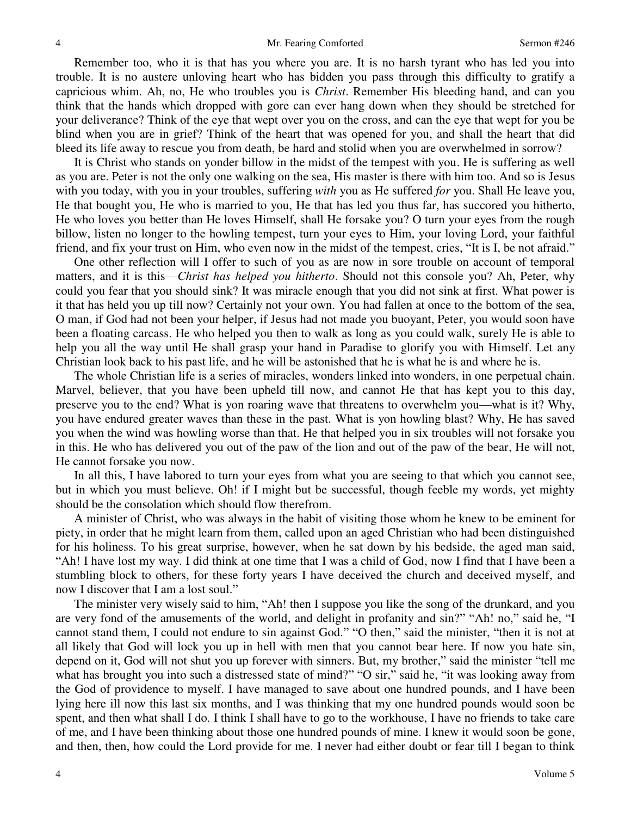Remember too, who it is that has you where you are. It is no harsh tyrant who has led you into trouble. It is no austere unloving heart who has bidden you pass through this difficulty to gratify a capricious whim. Ah, no, He who troubles you is *Christ*. Remember His bleeding hand, and can you think that the hands which dropped with gore can ever hang down when they should be stretched for your deliverance? Think of the eye that wept over you on the cross, and can the eye that wept for you be blind when you are in grief? Think of the heart that was opened for you, and shall the heart that did bleed its life away to rescue you from death, be hard and stolid when you are overwhelmed in sorrow?

It is Christ who stands on yonder billow in the midst of the tempest with you. He is suffering as well as you are. Peter is not the only one walking on the sea, His master is there with him too. And so is Jesus with you today, with you in your troubles, suffering *with* you as He suffered *for* you. Shall He leave you, He that bought you, He who is married to you, He that has led you thus far, has succored you hitherto, He who loves you better than He loves Himself, shall He forsake you? O turn your eyes from the rough billow, listen no longer to the howling tempest, turn your eyes to Him, your loving Lord, your faithful friend, and fix your trust on Him, who even now in the midst of the tempest, cries, "It is I, be not afraid."

One other reflection will I offer to such of you as are now in sore trouble on account of temporal matters, and it is this—*Christ has helped you hitherto*. Should not this console you? Ah, Peter, why could you fear that you should sink? It was miracle enough that you did not sink at first. What power is it that has held you up till now? Certainly not your own. You had fallen at once to the bottom of the sea, O man, if God had not been your helper, if Jesus had not made you buoyant, Peter, you would soon have been a floating carcass. He who helped you then to walk as long as you could walk, surely He is able to help you all the way until He shall grasp your hand in Paradise to glorify you with Himself. Let any Christian look back to his past life, and he will be astonished that he is what he is and where he is.

The whole Christian life is a series of miracles, wonders linked into wonders, in one perpetual chain. Marvel, believer, that you have been upheld till now, and cannot He that has kept you to this day, preserve you to the end? What is yon roaring wave that threatens to overwhelm you—what is it? Why, you have endured greater waves than these in the past. What is yon howling blast? Why, He has saved you when the wind was howling worse than that. He that helped you in six troubles will not forsake you in this. He who has delivered you out of the paw of the lion and out of the paw of the bear, He will not, He cannot forsake you now.

In all this, I have labored to turn your eyes from what you are seeing to that which you cannot see, but in which you must believe. Oh! if I might but be successful, though feeble my words, yet mighty should be the consolation which should flow therefrom.

A minister of Christ, who was always in the habit of visiting those whom he knew to be eminent for piety, in order that he might learn from them, called upon an aged Christian who had been distinguished for his holiness. To his great surprise, however, when he sat down by his bedside, the aged man said, "Ah! I have lost my way. I did think at one time that I was a child of God, now I find that I have been a stumbling block to others, for these forty years I have deceived the church and deceived myself, and now I discover that I am a lost soul."

The minister very wisely said to him, "Ah! then I suppose you like the song of the drunkard, and you are very fond of the amusements of the world, and delight in profanity and sin?" "Ah! no," said he, "I cannot stand them, I could not endure to sin against God." "O then," said the minister, "then it is not at all likely that God will lock you up in hell with men that you cannot bear here. If now you hate sin, depend on it, God will not shut you up forever with sinners. But, my brother," said the minister "tell me what has brought you into such a distressed state of mind?" "O sir," said he, "it was looking away from the God of providence to myself. I have managed to save about one hundred pounds, and I have been lying here ill now this last six months, and I was thinking that my one hundred pounds would soon be spent, and then what shall I do. I think I shall have to go to the workhouse, I have no friends to take care of me, and I have been thinking about those one hundred pounds of mine. I knew it would soon be gone, and then, then, how could the Lord provide for me. I never had either doubt or fear till I began to think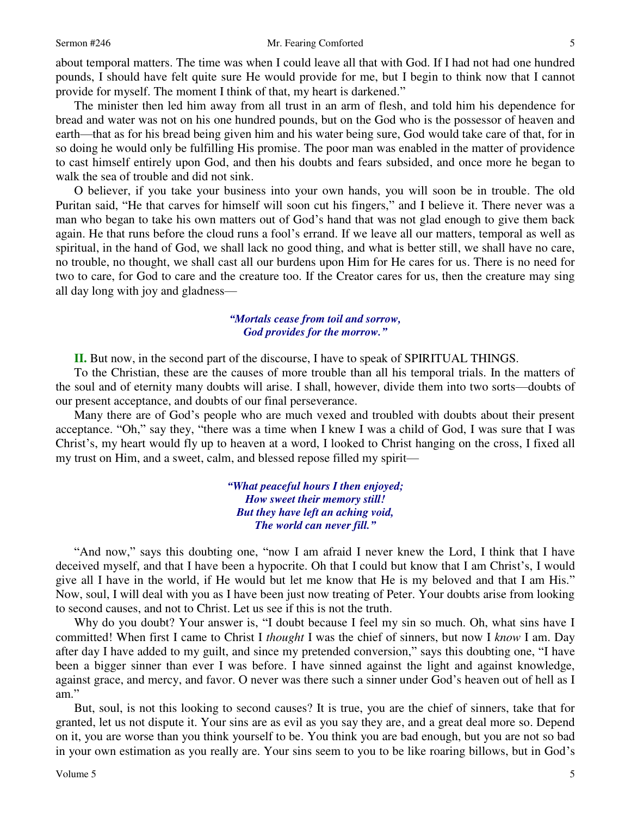#### Sermon #246 Mr. Fearing Comforted

about temporal matters. The time was when I could leave all that with God. If I had not had one hundred pounds, I should have felt quite sure He would provide for me, but I begin to think now that I cannot provide for myself. The moment I think of that, my heart is darkened."

The minister then led him away from all trust in an arm of flesh, and told him his dependence for bread and water was not on his one hundred pounds, but on the God who is the possessor of heaven and earth—that as for his bread being given him and his water being sure, God would take care of that, for in so doing he would only be fulfilling His promise. The poor man was enabled in the matter of providence to cast himself entirely upon God, and then his doubts and fears subsided, and once more he began to walk the sea of trouble and did not sink.

O believer, if you take your business into your own hands, you will soon be in trouble. The old Puritan said, "He that carves for himself will soon cut his fingers," and I believe it. There never was a man who began to take his own matters out of God's hand that was not glad enough to give them back again. He that runs before the cloud runs a fool's errand. If we leave all our matters, temporal as well as spiritual, in the hand of God, we shall lack no good thing, and what is better still, we shall have no care, no trouble, no thought, we shall cast all our burdens upon Him for He cares for us. There is no need for two to care, for God to care and the creature too. If the Creator cares for us, then the creature may sing all day long with joy and gladness—

## *"Mortals cease from toil and sorrow, God provides for the morrow."*

**II.** But now, in the second part of the discourse, I have to speak of SPIRITUAL THINGS.

To the Christian, these are the causes of more trouble than all his temporal trials. In the matters of the soul and of eternity many doubts will arise. I shall, however, divide them into two sorts—doubts of our present acceptance, and doubts of our final perseverance.

Many there are of God's people who are much vexed and troubled with doubts about their present acceptance. "Oh," say they, "there was a time when I knew I was a child of God, I was sure that I was Christ's, my heart would fly up to heaven at a word, I looked to Christ hanging on the cross, I fixed all my trust on Him, and a sweet, calm, and blessed repose filled my spirit—

> *"What peaceful hours I then enjoyed; How sweet their memory still! But they have left an aching void, The world can never fill."*

"And now," says this doubting one, "now I am afraid I never knew the Lord, I think that I have deceived myself, and that I have been a hypocrite. Oh that I could but know that I am Christ's, I would give all I have in the world, if He would but let me know that He is my beloved and that I am His." Now, soul, I will deal with you as I have been just now treating of Peter. Your doubts arise from looking to second causes, and not to Christ. Let us see if this is not the truth.

 Why do you doubt? Your answer is, "I doubt because I feel my sin so much. Oh, what sins have I committed! When first I came to Christ I *thought* I was the chief of sinners, but now I *know* I am. Day after day I have added to my guilt, and since my pretended conversion," says this doubting one, "I have been a bigger sinner than ever I was before. I have sinned against the light and against knowledge, against grace, and mercy, and favor. O never was there such a sinner under God's heaven out of hell as I am."

 But, soul, is not this looking to second causes? It is true, you are the chief of sinners, take that for granted, let us not dispute it. Your sins are as evil as you say they are, and a great deal more so. Depend on it, you are worse than you think yourself to be. You think you are bad enough, but you are not so bad in your own estimation as you really are. Your sins seem to you to be like roaring billows, but in God's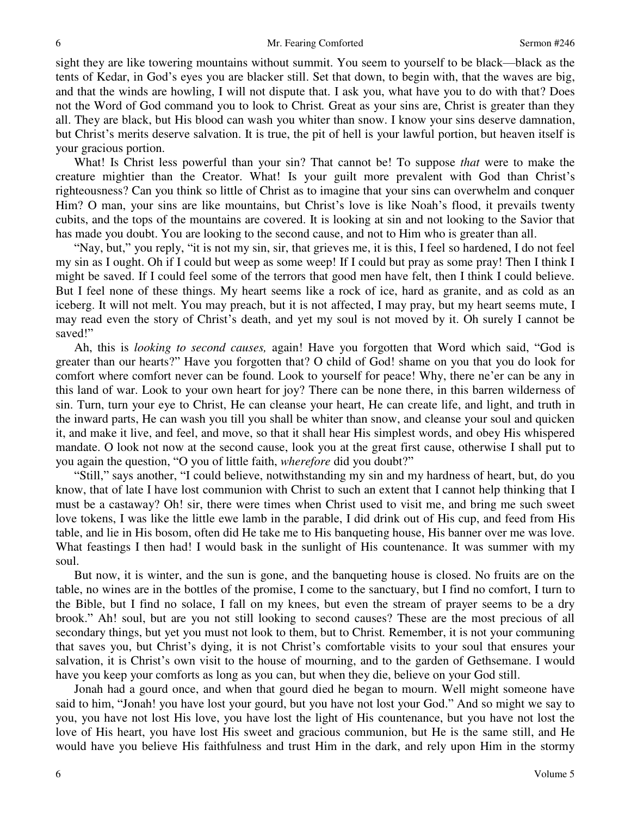sight they are like towering mountains without summit. You seem to yourself to be black—black as the tents of Kedar, in God's eyes you are blacker still. Set that down, to begin with, that the waves are big, and that the winds are howling, I will not dispute that. I ask you, what have you to do with that? Does not the Word of God command you to look to Christ*.* Great as your sins are, Christ is greater than they all. They are black, but His blood can wash you whiter than snow. I know your sins deserve damnation, but Christ's merits deserve salvation. It is true, the pit of hell is your lawful portion, but heaven itself is your gracious portion.

 What! Is Christ less powerful than your sin? That cannot be! To suppose *that* were to make the creature mightier than the Creator. What! Is your guilt more prevalent with God than Christ's righteousness? Can you think so little of Christ as to imagine that your sins can overwhelm and conquer Him? O man, your sins are like mountains, but Christ's love is like Noah's flood, it prevails twenty cubits, and the tops of the mountains are covered. It is looking at sin and not looking to the Savior that has made you doubt. You are looking to the second cause, and not to Him who is greater than all.

"Nay, but," you reply, "it is not my sin, sir, that grieves me, it is this, I feel so hardened, I do not feel my sin as I ought. Oh if I could but weep as some weep! If I could but pray as some pray! Then I think I might be saved. If I could feel some of the terrors that good men have felt, then I think I could believe. But I feel none of these things. My heart seems like a rock of ice, hard as granite, and as cold as an iceberg. It will not melt. You may preach, but it is not affected, I may pray, but my heart seems mute, I may read even the story of Christ's death, and yet my soul is not moved by it. Oh surely I cannot be saved!"

Ah, this is *looking to second causes,* again! Have you forgotten that Word which said, "God is greater than our hearts?" Have you forgotten that? O child of God! shame on you that you do look for comfort where comfort never can be found. Look to yourself for peace! Why, there ne'er can be any in this land of war. Look to your own heart for joy? There can be none there, in this barren wilderness of sin. Turn, turn your eye to Christ, He can cleanse your heart, He can create life, and light, and truth in the inward parts, He can wash you till you shall be whiter than snow, and cleanse your soul and quicken it, and make it live, and feel, and move, so that it shall hear His simplest words, and obey His whispered mandate. O look not now at the second cause, look you at the great first cause, otherwise I shall put to you again the question, "O you of little faith, *wherefore* did you doubt?"

"Still," says another, "I could believe, notwithstanding my sin and my hardness of heart, but, do you know, that of late I have lost communion with Christ to such an extent that I cannot help thinking that I must be a castaway? Oh! sir, there were times when Christ used to visit me, and bring me such sweet love tokens, I was like the little ewe lamb in the parable, I did drink out of His cup, and feed from His table, and lie in His bosom, often did He take me to His banqueting house, His banner over me was love. What feastings I then had! I would bask in the sunlight of His countenance. It was summer with my soul.

But now, it is winter, and the sun is gone, and the banqueting house is closed. No fruits are on the table, no wines are in the bottles of the promise, I come to the sanctuary, but I find no comfort, I turn to the Bible, but I find no solace, I fall on my knees, but even the stream of prayer seems to be a dry brook." Ah! soul, but are you not still looking to second causes? These are the most precious of all secondary things, but yet you must not look to them, but to Christ*.* Remember, it is not your communing that saves you, but Christ's dying, it is not Christ's comfortable visits to your soul that ensures your salvation, it is Christ's own visit to the house of mourning, and to the garden of Gethsemane. I would have you keep your comforts as long as you can, but when they die, believe on your God still.

Jonah had a gourd once, and when that gourd died he began to mourn. Well might someone have said to him, "Jonah! you have lost your gourd, but you have not lost your God." And so might we say to you, you have not lost His love, you have lost the light of His countenance, but you have not lost the love of His heart, you have lost His sweet and gracious communion, but He is the same still, and He would have you believe His faithfulness and trust Him in the dark, and rely upon Him in the stormy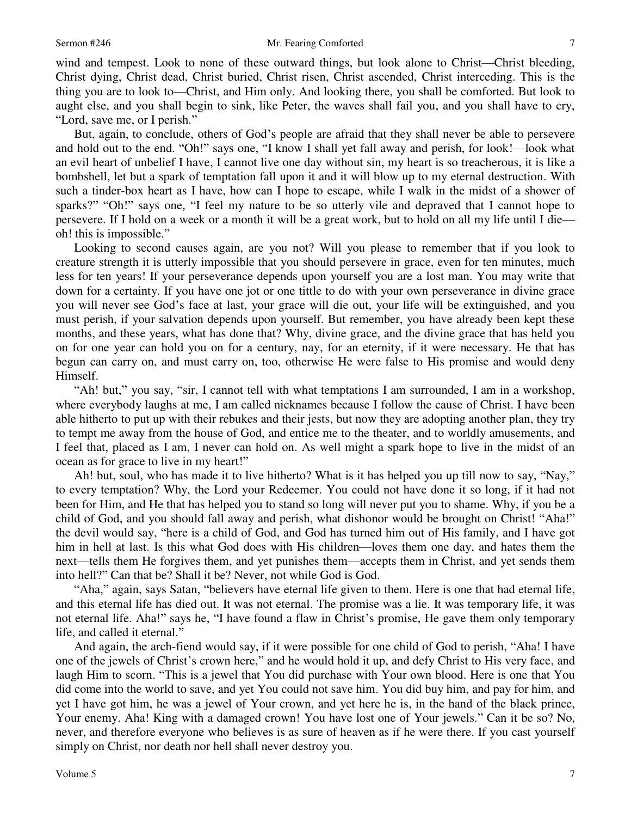wind and tempest. Look to none of these outward things, but look alone to Christ—Christ bleeding, Christ dying, Christ dead, Christ buried, Christ risen, Christ ascended, Christ interceding. This is the thing you are to look to—Christ, and Him only. And looking there, you shall be comforted. But look to aught else, and you shall begin to sink, like Peter, the waves shall fail you, and you shall have to cry, "Lord, save me, or I perish."

But, again, to conclude, others of God's people are afraid that they shall never be able to persevere and hold out to the end. "Oh!" says one, "I know I shall yet fall away and perish, for look!—look what an evil heart of unbelief I have, I cannot live one day without sin, my heart is so treacherous, it is like a bombshell, let but a spark of temptation fall upon it and it will blow up to my eternal destruction. With such a tinder-box heart as I have, how can I hope to escape, while I walk in the midst of a shower of sparks?" "Oh!" says one, "I feel my nature to be so utterly vile and depraved that I cannot hope to persevere. If I hold on a week or a month it will be a great work, but to hold on all my life until I die oh! this is impossible."

Looking to second causes again, are you not? Will you please to remember that if you look to creature strength it is utterly impossible that you should persevere in grace, even for ten minutes, much less for ten years! If your perseverance depends upon yourself you are a lost man. You may write that down for a certainty. If you have one jot or one tittle to do with your own perseverance in divine grace you will never see God's face at last, your grace will die out, your life will be extinguished, and you must perish, if your salvation depends upon yourself. But remember, you have already been kept these months, and these years, what has done that? Why, divine grace, and the divine grace that has held you on for one year can hold you on for a century, nay, for an eternity, if it were necessary. He that has begun can carry on, and must carry on, too, otherwise He were false to His promise and would deny Himself.

"Ah! but," you say, "sir, I cannot tell with what temptations I am surrounded, I am in a workshop, where everybody laughs at me, I am called nicknames because I follow the cause of Christ. I have been able hitherto to put up with their rebukes and their jests, but now they are adopting another plan, they try to tempt me away from the house of God, and entice me to the theater, and to worldly amusements, and I feel that, placed as I am, I never can hold on. As well might a spark hope to live in the midst of an ocean as for grace to live in my heart!"

Ah! but, soul, who has made it to live hitherto? What is it has helped you up till now to say, "Nay," to every temptation? Why, the Lord your Redeemer. You could not have done it so long, if it had not been for Him, and He that has helped you to stand so long will never put you to shame. Why, if you be a child of God, and you should fall away and perish, what dishonor would be brought on Christ! "Aha!" the devil would say, "here is a child of God, and God has turned him out of His family, and I have got him in hell at last. Is this what God does with His children—loves them one day, and hates them the next—tells them He forgives them, and yet punishes them—accepts them in Christ, and yet sends them into hell?" Can that be? Shall it be? Never, not while God is God.

"Aha," again, says Satan, "believers have eternal life given to them. Here is one that had eternal life, and this eternal life has died out. It was not eternal. The promise was a lie. It was temporary life, it was not eternal life. Aha!" says he, "I have found a flaw in Christ's promise, He gave them only temporary life, and called it eternal."

And again, the arch-fiend would say, if it were possible for one child of God to perish, "Aha! I have one of the jewels of Christ's crown here," and he would hold it up, and defy Christ to His very face, and laugh Him to scorn. "This is a jewel that You did purchase with Your own blood. Here is one that You did come into the world to save, and yet You could not save him. You did buy him, and pay for him, and yet I have got him, he was a jewel of Your crown, and yet here he is, in the hand of the black prince, Your enemy. Aha! King with a damaged crown! You have lost one of Your jewels." Can it be so? No, never, and therefore everyone who believes is as sure of heaven as if he were there. If you cast yourself simply on Christ, nor death nor hell shall never destroy you.